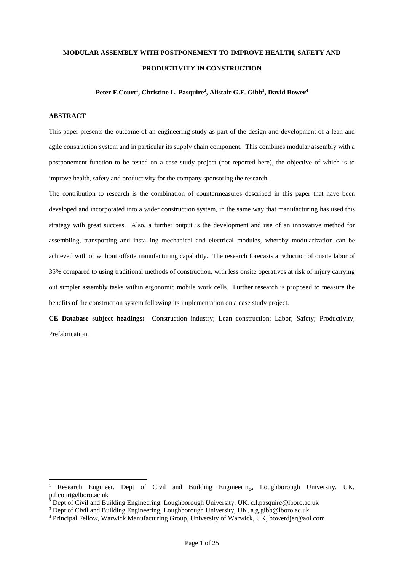# **MODULAR ASSEMBLY WITH POSTPONEMENT TO IMPROVE HEALTH, SAFETY AND PRODUCTIVITY IN CONSTRUCTION**

## **Peter F.Court<sup>1</sup> , Christine L. Pasquire<sup>2</sup> , Alistair G.F. Gibb<sup>3</sup> , David Bower<sup>4</sup>**

## **ABSTRACT**

<u>.</u>

This paper presents the outcome of an engineering study as part of the design and development of a lean and agile construction system and in particular its supply chain component. This combines modular assembly with a postponement function to be tested on a case study project (not reported here), the objective of which is to improve health, safety and productivity for the company sponsoring the research.

The contribution to research is the combination of countermeasures described in this paper that have been developed and incorporated into a wider construction system, in the same way that manufacturing has used this strategy with great success. Also, a further output is the development and use of an innovative method for assembling, transporting and installing mechanical and electrical modules, whereby modularization can be achieved with or without offsite manufacturing capability. The research forecasts a reduction of onsite labor of 35% compared to using traditional methods of construction, with less onsite operatives at risk of injury carrying out simpler assembly tasks within ergonomic mobile work cells. Further research is proposed to measure the benefits of the construction system following its implementation on a case study project.

**CE Database subject headings:** Construction industry; Lean construction; Labor; Safety; Productivity; Prefabrication.

<sup>1</sup> Research Engineer, Dept of Civil and Building Engineering, Loughborough University, UK, p.f.court@lboro.ac.uk

<sup>2</sup> Dept of Civil and Building Engineering, Loughborough University, UK. c.l.pasquire@lboro.ac.uk

<sup>&</sup>lt;sup>3</sup> Dept of Civil and Building Engineering, Loughborough University, UK, a.g.gibb@lboro.ac.uk

<sup>4</sup> Principal Fellow, Warwick Manufacturing Group, University of Warwick, UK, bowerdjer@aol.com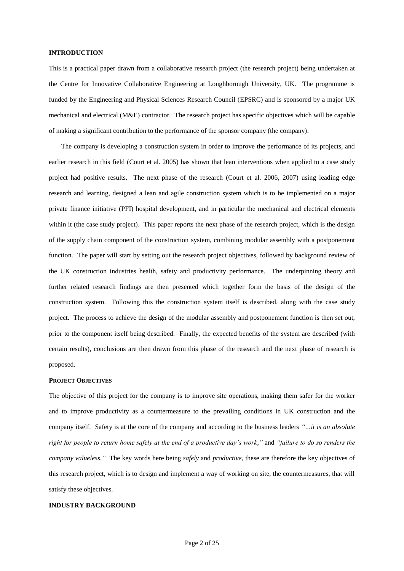## **INTRODUCTION**

This is a practical paper drawn from a collaborative research project (the research project) being undertaken at the Centre for Innovative Collaborative Engineering at Loughborough University, UK. The programme is funded by the Engineering and Physical Sciences Research Council (EPSRC) and is sponsored by a major UK mechanical and electrical (M&E) contractor. The research project has specific objectives which will be capable of making a significant contribution to the performance of the sponsor company (the company).

The company is developing a construction system in order to improve the performance of its projects, and earlier research in this field (Court et al. 2005) has shown that lean interventions when applied to a case study project had positive results. The next phase of the research (Court et al. 2006, 2007) using leading edge research and learning, designed a lean and agile construction system which is to be implemented on a major private finance initiative (PFI) hospital development, and in particular the mechanical and electrical elements within it (the case study project). This paper reports the next phase of the research project, which is the design of the supply chain component of the construction system, combining modular assembly with a postponement function. The paper will start by setting out the research project objectives, followed by background review of the UK construction industries health, safety and productivity performance. The underpinning theory and further related research findings are then presented which together form the basis of the design of the construction system. Following this the construction system itself is described, along with the case study project. The process to achieve the design of the modular assembly and postponement function is then set out, prior to the component itself being described. Finally, the expected benefits of the system are described (with certain results), conclusions are then drawn from this phase of the research and the next phase of research is proposed.

#### **PROJECT OBJECTIVES**

The objective of this project for the company is to improve site operations, making them safer for the worker and to improve productivity as a countermeasure to the prevailing conditions in UK construction and the company itself. Safety is at the core of the company and according to the business leaders *"…it is an absolute right for people to return home safely at the end of a productive day's work,"* and *"failure to do so renders the company valueless."* The key words here being *safely* and *productive,* these are therefore the key objectives of this research project, which is to design and implement a way of working on site, the countermeasures, that will satisfy these objectives.

#### **INDUSTRY BACKGROUND**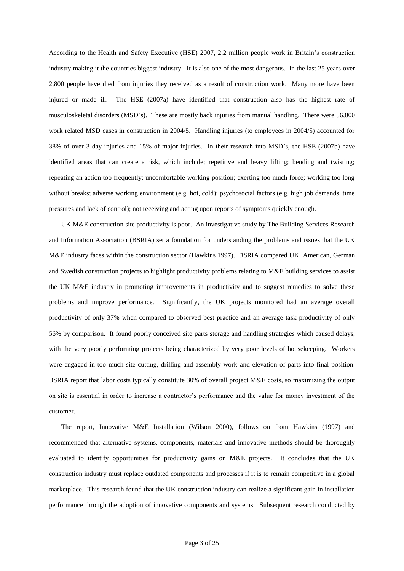According to the Health and Safety Executive (HSE) 2007, 2.2 million people work in Britain's construction industry making it the countries biggest industry. It is also one of the most dangerous. In the last 25 years over 2,800 people have died from injuries they received as a result of construction work. Many more have been injured or made ill. The HSE (2007a) have identified that construction also has the highest rate of musculoskeletal disorders (MSD's). These are mostly back injuries from manual handling. There were 56,000 work related MSD cases in construction in 2004/5. Handling injuries (to employees in 2004/5) accounted for 38% of over 3 day injuries and 15% of major injuries. In their research into MSD's, the HSE (2007b) have identified areas that can create a risk, which include; repetitive and heavy lifting; bending and twisting; repeating an action too frequently; uncomfortable working position; exerting too much force; working too long without breaks; adverse working environment (e.g. hot, cold); psychosocial factors (e.g. high job demands, time pressures and lack of control); not receiving and acting upon reports of symptoms quickly enough.

UK M&E construction site productivity is poor. An investigative study by The Building Services Research and Information Association (BSRIA) set a foundation for understanding the problems and issues that the UK M&E industry faces within the construction sector (Hawkins 1997). BSRIA compared UK, American, German and Swedish construction projects to highlight productivity problems relating to M&E building services to assist the UK M&E industry in promoting improvements in productivity and to suggest remedies to solve these problems and improve performance. Significantly, the UK projects monitored had an average overall productivity of only 37% when compared to observed best practice and an average task productivity of only 56% by comparison. It found poorly conceived site parts storage and handling strategies which caused delays, with the very poorly performing projects being characterized by very poor levels of housekeeping. Workers were engaged in too much site cutting, drilling and assembly work and elevation of parts into final position. BSRIA report that labor costs typically constitute 30% of overall project M&E costs, so maximizing the output on site is essential in order to increase a contractor's performance and the value for money investment of the customer.

The report, Innovative M&E Installation (Wilson 2000), follows on from Hawkins (1997) and recommended that alternative systems, components, materials and innovative methods should be thoroughly evaluated to identify opportunities for productivity gains on M&E projects. It concludes that the UK construction industry must replace outdated components and processes if it is to remain competitive in a global marketplace. This research found that the UK construction industry can realize a significant gain in installation performance through the adoption of innovative components and systems. Subsequent research conducted by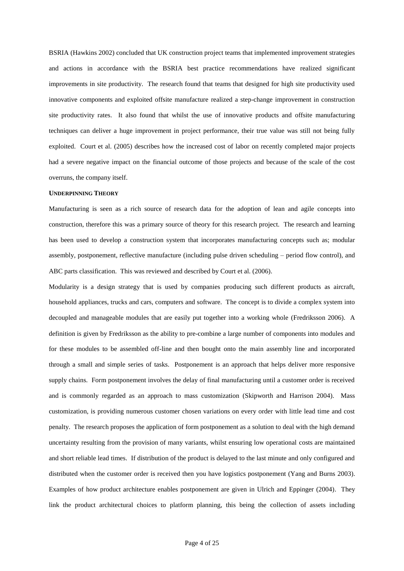BSRIA (Hawkins 2002) concluded that UK construction project teams that implemented improvement strategies and actions in accordance with the BSRIA best practice recommendations have realized significant improvements in site productivity. The research found that teams that designed for high site productivity used innovative components and exploited offsite manufacture realized a step-change improvement in construction site productivity rates. It also found that whilst the use of innovative products and offsite manufacturing techniques can deliver a huge improvement in project performance, their true value was still not being fully exploited. Court et al. (2005) describes how the increased cost of labor on recently completed major projects had a severe negative impact on the financial outcome of those projects and because of the scale of the cost overruns, the company itself.

#### **UNDERPINNING THEORY**

Manufacturing is seen as a rich source of research data for the adoption of lean and agile concepts into construction, therefore this was a primary source of theory for this research project. The research and learning has been used to develop a construction system that incorporates manufacturing concepts such as; modular assembly, postponement, reflective manufacture (including pulse driven scheduling – period flow control), and ABC parts classification. This was reviewed and described by Court et al. (2006).

Modularity is a design strategy that is used by companies producing such different products as aircraft, household appliances, trucks and cars, computers and software. The concept is to divide a complex system into decoupled and manageable modules that are easily put together into a working whole (Fredriksson 2006). A definition is given by Fredriksson as the ability to pre-combine a large number of components into modules and for these modules to be assembled off-line and then bought onto the main assembly line and incorporated through a small and simple series of tasks. Postponement is an approach that helps deliver more responsive supply chains. Form postponement involves the delay of final manufacturing until a customer order is received and is commonly regarded as an approach to mass customization (Skipworth and Harrison 2004). Mass customization, is providing numerous customer chosen variations on every order with little lead time and cost penalty. The research proposes the application of form postponement as a solution to deal with the high demand uncertainty resulting from the provision of many variants, whilst ensuring low operational costs are maintained and short reliable lead times. If distribution of the product is delayed to the last minute and only configured and distributed when the customer order is received then you have logistics postponement (Yang and Burns 2003). Examples of how product architecture enables postponement are given in Ulrich and Eppinger (2004). They link the product architectural choices to platform planning, this being the collection of assets including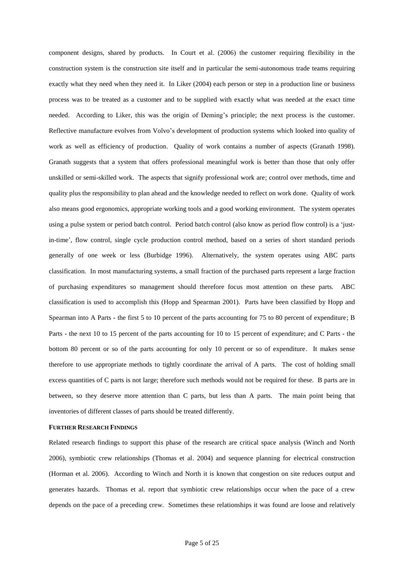component designs, shared by products. In Court et al. (2006) the customer requiring flexibility in the construction system is the construction site itself and in particular the semi-autonomous trade teams requiring exactly what they need when they need it. In Liker (2004) each person or step in a production line or business process was to be treated as a customer and to be supplied with exactly what was needed at the exact time needed. According to Liker, this was the origin of Deming's principle; the next process is the customer. Reflective manufacture evolves from Volvo's development of production systems which looked into quality of work as well as efficiency of production. Quality of work contains a number of aspects (Granath 1998). Granath suggests that a system that offers professional meaningful work is better than those that only offer unskilled or semi-skilled work. The aspects that signify professional work are; control over methods, time and quality plus the responsibility to plan ahead and the knowledge needed to reflect on work done. Quality of work also means good ergonomics, appropriate working tools and a good working environment. The system operates using a pulse system or period batch control. Period batch control (also know as period flow control) is a 'justin-time', flow control, single cycle production control method, based on a series of short standard periods generally of one week or less (Burbidge 1996). Alternatively, the system operates using ABC parts classification. In most manufacturing systems, a small fraction of the purchased parts represent a large fraction of purchasing expenditures so management should therefore focus most attention on these parts. ABC classification is used to accomplish this (Hopp and Spearman 2001). Parts have been classified by Hopp and Spearman into A Parts - the first 5 to 10 percent of the parts accounting for 75 to 80 percent of expenditure; B Parts - the next 10 to 15 percent of the parts accounting for 10 to 15 percent of expenditure; and C Parts - the bottom 80 percent or so of the parts accounting for only 10 percent or so of expenditure. It makes sense therefore to use appropriate methods to tightly coordinate the arrival of A parts. The cost of holding small excess quantities of C parts is not large; therefore such methods would not be required for these. B parts are in between, so they deserve more attention than C parts, but less than A parts. The main point being that inventories of different classes of parts should be treated differently.

## **FURTHER RESEARCH FINDINGS**

Related research findings to support this phase of the research are critical space analysis (Winch and North 2006), symbiotic crew relationships (Thomas et al. 2004) and sequence planning for electrical construction (Horman et al. 2006). According to Winch and North it is known that congestion on site reduces output and generates hazards. Thomas et al. report that symbiotic crew relationships occur when the pace of a crew depends on the pace of a preceding crew. Sometimes these relationships it was found are loose and relatively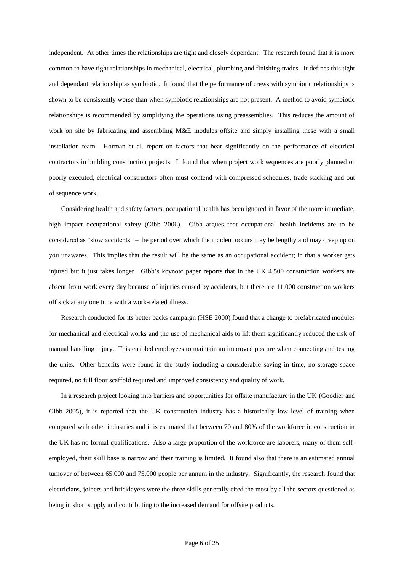independent. At other times the relationships are tight and closely dependant. The research found that it is more common to have tight relationships in mechanical, electrical, plumbing and finishing trades. It defines this tight and dependant relationship as symbiotic. It found that the performance of crews with symbiotic relationships is shown to be consistently worse than when symbiotic relationships are not present. A method to avoid symbiotic relationships is recommended by simplifying the operations using preassemblies. This reduces the amount of work on site by fabricating and assembling M&E modules offsite and simply installing these with a small installation team**.** Horman et al. report on factors that bear significantly on the performance of electrical contractors in building construction projects. It found that when project work sequences are poorly planned or poorly executed, electrical constructors often must contend with compressed schedules, trade stacking and out of sequence work.

Considering health and safety factors, occupational health has been ignored in favor of the more immediate, high impact occupational safety (Gibb 2006). Gibb argues that occupational health incidents are to be considered as "slow accidents" – the period over which the incident occurs may be lengthy and may creep up on you unawares. This implies that the result will be the same as an occupational accident; in that a worker gets injured but it just takes longer. Gibb's keynote paper reports that in the UK 4,500 construction workers are absent from work every day because of injuries caused by accidents, but there are 11,000 construction workers off sick at any one time with a work-related illness.

Research conducted for its better backs campaign (HSE 2000) found that a change to prefabricated modules for mechanical and electrical works and the use of mechanical aids to lift them significantly reduced the risk of manual handling injury. This enabled employees to maintain an improved posture when connecting and testing the units. Other benefits were found in the study including a considerable saving in time, no storage space required, no full floor scaffold required and improved consistency and quality of work.

In a research project looking into barriers and opportunities for offsite manufacture in the UK (Goodier and Gibb 2005), it is reported that the UK construction industry has a historically low level of training when compared with other industries and it is estimated that between 70 and 80% of the workforce in construction in the UK has no formal qualifications. Also a large proportion of the workforce are laborers, many of them selfemployed, their skill base is narrow and their training is limited. It found also that there is an estimated annual turnover of between 65,000 and 75,000 people per annum in the industry. Significantly, the research found that electricians, joiners and bricklayers were the three skills generally cited the most by all the sectors questioned as being in short supply and contributing to the increased demand for offsite products.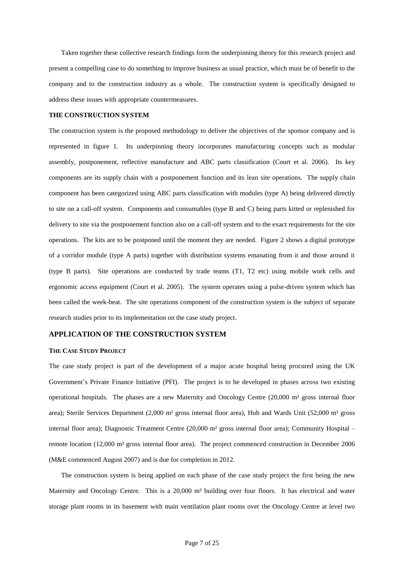Taken together these collective research findings form the underpinning theory for this research project and present a compelling case to do something to improve business as usual practice, which must be of benefit to the company and to the construction industry as a whole. The construction system is specifically designed to address these issues with appropriate countermeasures.

#### **THE CONSTRUCTION SYSTEM**

The construction system is the proposed methodology to deliver the objectives of the sponsor company and is represented in figure 1. Its underpinning theory incorporates manufacturing concepts such as modular assembly, postponement, reflective manufacture and ABC parts classification (Court et al. 2006). Its key components are its supply chain with a postponement function and its lean site operations. The supply chain component has been categorized using ABC parts classification with modules (type A) being delivered directly to site on a call-off system. Components and consumables (type B and C) being parts kitted or replenished for delivery to site via the postponement function also on a call-off system and to the exact requirements for the site operations. The kits are to be postponed until the moment they are needed. Figure 2 shows a digital prototype of a corridor module (type A parts) together with distribution systems emanating from it and those around it (type B parts). Site operations are conducted by trade teams (T1, T2 etc) using mobile work cells and ergonomic access equipment (Court et al. 2005). The system operates using a pulse-driven system which has been called the week-beat. The site operations component of the construction system is the subject of separate research studies prior to its implementation on the case study project.

## **APPLICATION OF THE CONSTRUCTION SYSTEM**

#### **THE CASE STUDY PROJECT**

The case study project is part of the development of a major acute hospital being procured using the UK Government's Private Finance Initiative (PFI). The project is to be developed in phases across two existing operational hospitals. The phases are a new Maternity and Oncology Centre (20,000 m² gross internal floor area); Sterile Services Department (2,000 m² gross internal floor area), Hub and Wards Unit (52,000 m² gross internal floor area); Diagnostic Treatment Centre (20,000 m² gross internal floor area); Community Hospital – remote location (12,000 m² gross internal floor area). The project commenced construction in December 2006 (M&E commenced August 2007) and is due for completion in 2012.

The construction system is being applied on each phase of the case study project the first being the new Maternity and Oncology Centre. This is a 20,000 m² building over four floors. It has electrical and water storage plant rooms in its basement with main ventilation plant rooms over the Oncology Centre at level two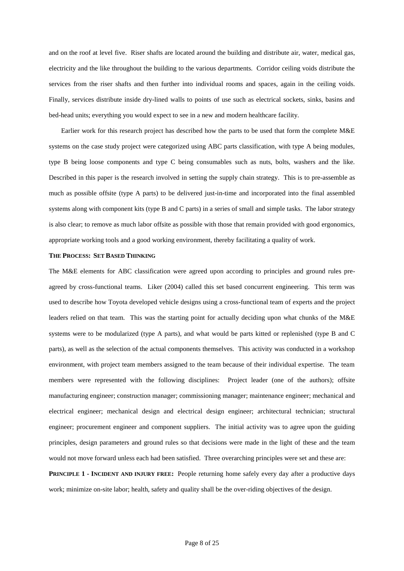and on the roof at level five. Riser shafts are located around the building and distribute air, water, medical gas, electricity and the like throughout the building to the various departments. Corridor ceiling voids distribute the services from the riser shafts and then further into individual rooms and spaces, again in the ceiling voids. Finally, services distribute inside dry-lined walls to points of use such as electrical sockets, sinks, basins and bed-head units; everything you would expect to see in a new and modern healthcare facility.

Earlier work for this research project has described how the parts to be used that form the complete M&E systems on the case study project were categorized using ABC parts classification, with type A being modules, type B being loose components and type C being consumables such as nuts, bolts, washers and the like. Described in this paper is the research involved in setting the supply chain strategy. This is to pre-assemble as much as possible offsite (type A parts) to be delivered just-in-time and incorporated into the final assembled systems along with component kits (type B and C parts) in a series of small and simple tasks. The labor strategy is also clear; to remove as much labor offsite as possible with those that remain provided with good ergonomics, appropriate working tools and a good working environment, thereby facilitating a quality of work.

## **THE PROCESS: SET BASED THINKING**

The M&E elements for ABC classification were agreed upon according to principles and ground rules preagreed by cross-functional teams. Liker (2004) called this set based concurrent engineering. This term was used to describe how Toyota developed vehicle designs using a cross-functional team of experts and the project leaders relied on that team. This was the starting point for actually deciding upon what chunks of the M&E systems were to be modularized (type A parts), and what would be parts kitted or replenished (type B and C parts), as well as the selection of the actual components themselves. This activity was conducted in a workshop environment, with project team members assigned to the team because of their individual expertise. The team members were represented with the following disciplines: Project leader (one of the authors); offsite manufacturing engineer; construction manager; commissioning manager; maintenance engineer; mechanical and electrical engineer; mechanical design and electrical design engineer; architectural technician; structural engineer; procurement engineer and component suppliers. The initial activity was to agree upon the guiding principles, design parameters and ground rules so that decisions were made in the light of these and the team would not move forward unless each had been satisfied. Three overarching principles were set and these are:

**PRINCIPLE 1 - INCIDENT AND INJURY FREE:** People returning home safely every day after a productive days work; minimize on-site labor; health, safety and quality shall be the over-riding objectives of the design.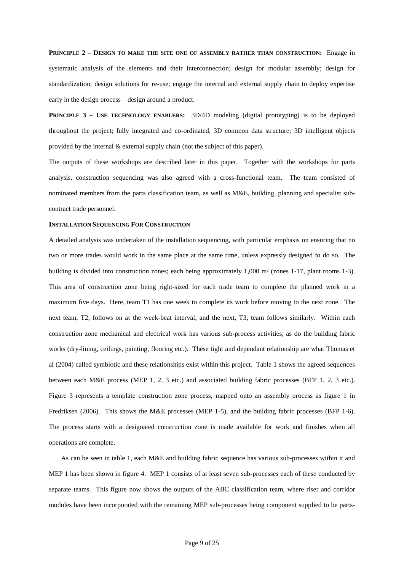**PRINCIPLE 2 – DESIGN TO MAKE THE SITE ONE OF ASSEMBLY RATHER THAN CONSTRUCTION:** Engage in systematic analysis of the elements and their interconnection; design for modular assembly; design for standardization; design solutions for re-use; engage the internal and external supply chain to deploy expertise early in the design process – design around a product.

**PRINCIPLE 3 – USE TECHNOLOGY ENABLERS:** 3D/4D modeling (digital prototyping) is to be deployed throughout the project; fully integrated and co-ordinated, 3D common data structure; 3D intelligent objects provided by the internal & external supply chain (not the subject of this paper).

The outputs of these workshops are described later in this paper. Together with the workshops for parts analysis, construction sequencing was also agreed with a cross-functional team. The team consisted of nominated members from the parts classification team, as well as M&E, building, planning and specialist subcontract trade personnel.

#### **INSTALLATION SEQUENCING FOR CONSTRUCTION**

A detailed analysis was undertaken of the installation sequencing, with particular emphasis on ensuring that no two or more trades would work in the same place at the same time, unless expressly designed to do so. The building is divided into construction zones; each being approximately 1,000 m² (zones 1-17, plant rooms 1-3). This area of construction zone being right-sized for each trade team to complete the planned work in a maximum five days. Here, team T1 has one week to complete its work before moving to the next zone. The next team, T2, follows on at the week-beat interval, and the next, T3, team follows similarly. Within each construction zone mechanical and electrical work has various sub-process activities, as do the building fabric works (dry-lining, ceilings, painting, flooring etc.). These tight and dependant relationship are what Thomas et al (2004) called symbiotic and these relationships exist within this project. Table 1 shows the agreed sequences between each M&E process (MEP 1, 2, 3 etc.) and associated building fabric processes (BFP 1, 2, 3 etc.). Figure 3 represents a template construction zone process, mapped onto an assembly process as figure 1 in Fredriksen (2006). This shows the M&E processes (MEP 1-5), and the building fabric processes (BFP 1-6). The process starts with a designated construction zone is made available for work and finishes when all operations are complete.

As can be seen in table 1, each M&E and building fabric sequence has various sub-processes within it and MEP 1 has been shown in figure 4. MEP 1 consists of at least seven sub-processes each of these conducted by separate teams. This figure now shows the outputs of the ABC classification team, where riser and corridor modules have been incorporated with the remaining MEP sub-processes being component supplied to be parts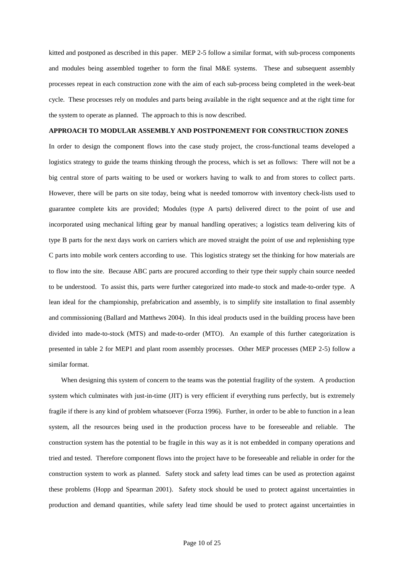kitted and postponed as described in this paper. MEP 2-5 follow a similar format, with sub-process components and modules being assembled together to form the final M&E systems. These and subsequent assembly processes repeat in each construction zone with the aim of each sub-process being completed in the week-beat cycle. These processes rely on modules and parts being available in the right sequence and at the right time for the system to operate as planned. The approach to this is now described.

## **APPROACH TO MODULAR ASSEMBLY AND POSTPONEMENT FOR CONSTRUCTION ZONES**

In order to design the component flows into the case study project, the cross-functional teams developed a logistics strategy to guide the teams thinking through the process, which is set as follows: There will not be a big central store of parts waiting to be used or workers having to walk to and from stores to collect parts. However, there will be parts on site today, being what is needed tomorrow with inventory check-lists used to guarantee complete kits are provided; Modules (type A parts) delivered direct to the point of use and incorporated using mechanical lifting gear by manual handling operatives; a logistics team delivering kits of type B parts for the next days work on carriers which are moved straight the point of use and replenishing type C parts into mobile work centers according to use. This logistics strategy set the thinking for how materials are to flow into the site. Because ABC parts are procured according to their type their supply chain source needed to be understood. To assist this, parts were further categorized into made-to stock and made-to-order type. A lean ideal for the championship, prefabrication and assembly, is to simplify site installation to final assembly and commissioning (Ballard and Matthews 2004). In this ideal products used in the building process have been divided into made-to-stock (MTS) and made-to-order (MTO). An example of this further categorization is presented in table 2 for MEP1 and plant room assembly processes. Other MEP processes (MEP 2-5) follow a similar format.

When designing this system of concern to the teams was the potential fragility of the system. A production system which culminates with just-in-time (JIT) is very efficient if everything runs perfectly, but is extremely fragile if there is any kind of problem whatsoever (Forza 1996). Further, in order to be able to function in a lean system, all the resources being used in the production process have to be foreseeable and reliable. The construction system has the potential to be fragile in this way as it is not embedded in company operations and tried and tested. Therefore component flows into the project have to be foreseeable and reliable in order for the construction system to work as planned. Safety stock and safety lead times can be used as protection against these problems (Hopp and Spearman 2001). Safety stock should be used to protect against uncertainties in production and demand quantities, while safety lead time should be used to protect against uncertainties in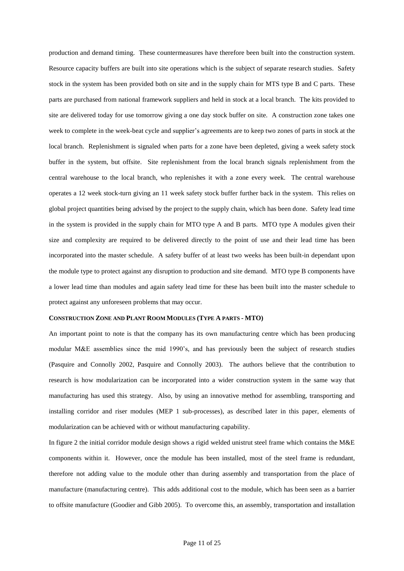production and demand timing. These countermeasures have therefore been built into the construction system. Resource capacity buffers are built into site operations which is the subject of separate research studies. Safety stock in the system has been provided both on site and in the supply chain for MTS type B and C parts. These parts are purchased from national framework suppliers and held in stock at a local branch. The kits provided to site are delivered today for use tomorrow giving a one day stock buffer on site. A construction zone takes one week to complete in the week-beat cycle and supplier's agreements are to keep two zones of parts in stock at the local branch. Replenishment is signaled when parts for a zone have been depleted, giving a week safety stock buffer in the system, but offsite. Site replenishment from the local branch signals replenishment from the central warehouse to the local branch, who replenishes it with a zone every week. The central warehouse operates a 12 week stock-turn giving an 11 week safety stock buffer further back in the system. This relies on global project quantities being advised by the project to the supply chain, which has been done. Safety lead time in the system is provided in the supply chain for MTO type A and B parts. MTO type A modules given their size and complexity are required to be delivered directly to the point of use and their lead time has been incorporated into the master schedule. A safety buffer of at least two weeks has been built-in dependant upon the module type to protect against any disruption to production and site demand. MTO type B components have a lower lead time than modules and again safety lead time for these has been built into the master schedule to protect against any unforeseen problems that may occur.

## **CONSTRUCTION ZONE AND PLANT ROOM MODULES (TYPE A PARTS - MTO)**

An important point to note is that the company has its own manufacturing centre which has been producing modular M&E assemblies since the mid 1990's, and has previously been the subject of research studies (Pasquire and Connolly 2002, Pasquire and Connolly 2003). The authors believe that the contribution to research is how modularization can be incorporated into a wider construction system in the same way that manufacturing has used this strategy. Also, by using an innovative method for assembling, transporting and installing corridor and riser modules (MEP 1 sub-processes), as described later in this paper, elements of modularization can be achieved with or without manufacturing capability.

In figure 2 the initial corridor module design shows a rigid welded unistrut steel frame which contains the M&E components within it. However, once the module has been installed, most of the steel frame is redundant, therefore not adding value to the module other than during assembly and transportation from the place of manufacture (manufacturing centre). This adds additional cost to the module, which has been seen as a barrier to offsite manufacture (Goodier and Gibb 2005). To overcome this, an assembly, transportation and installation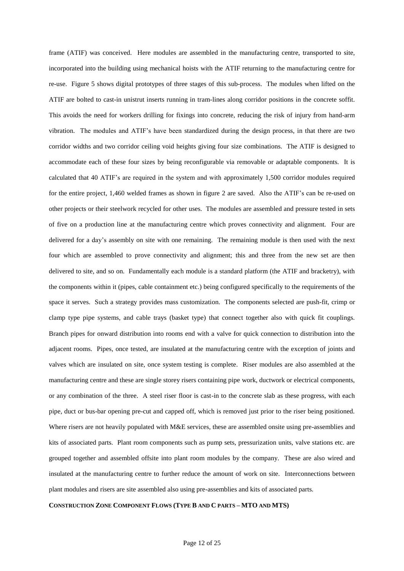frame (ATIF) was conceived. Here modules are assembled in the manufacturing centre, transported to site, incorporated into the building using mechanical hoists with the ATIF returning to the manufacturing centre for re-use. Figure 5 shows digital prototypes of three stages of this sub-process. The modules when lifted on the ATIF are bolted to cast-in unistrut inserts running in tram-lines along corridor positions in the concrete soffit. This avoids the need for workers drilling for fixings into concrete, reducing the risk of injury from hand-arm vibration. The modules and ATIF's have been standardized during the design process, in that there are two corridor widths and two corridor ceiling void heights giving four size combinations. The ATIF is designed to accommodate each of these four sizes by being reconfigurable via removable or adaptable components. It is calculated that 40 ATIF's are required in the system and with approximately 1,500 corridor modules required for the entire project, 1,460 welded frames as shown in figure 2 are saved. Also the ATIF's can be re-used on other projects or their steelwork recycled for other uses. The modules are assembled and pressure tested in sets of five on a production line at the manufacturing centre which proves connectivity and alignment. Four are delivered for a day's assembly on site with one remaining. The remaining module is then used with the next four which are assembled to prove connectivity and alignment; this and three from the new set are then delivered to site, and so on. Fundamentally each module is a standard platform (the ATIF and bracketry), with the components within it (pipes, cable containment etc.) being configured specifically to the requirements of the space it serves. Such a strategy provides mass customization. The components selected are push-fit, crimp or clamp type pipe systems, and cable trays (basket type) that connect together also with quick fit couplings. Branch pipes for onward distribution into rooms end with a valve for quick connection to distribution into the adjacent rooms. Pipes, once tested, are insulated at the manufacturing centre with the exception of joints and valves which are insulated on site, once system testing is complete. Riser modules are also assembled at the manufacturing centre and these are single storey risers containing pipe work, ductwork or electrical components, or any combination of the three. A steel riser floor is cast-in to the concrete slab as these progress, with each pipe, duct or bus-bar opening pre-cut and capped off, which is removed just prior to the riser being positioned. Where risers are not heavily populated with M&E services, these are assembled onsite using pre-assemblies and kits of associated parts. Plant room components such as pump sets, pressurization units, valve stations etc. are grouped together and assembled offsite into plant room modules by the company. These are also wired and insulated at the manufacturing centre to further reduce the amount of work on site. Interconnections between plant modules and risers are site assembled also using pre-assemblies and kits of associated parts.

#### **CONSTRUCTION ZONE COMPONENT FLOWS (TYPE B AND C PARTS – MTO AND MTS)**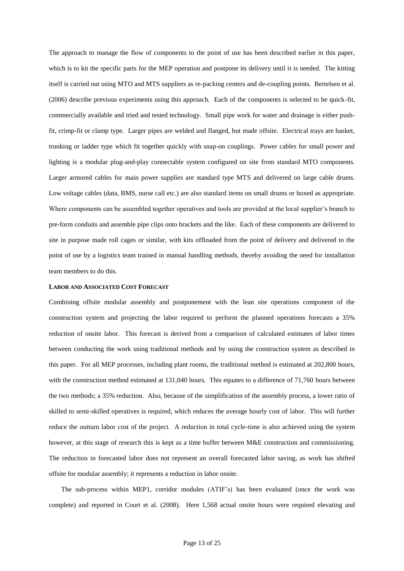The approach to manage the flow of components to the point of use has been described earlier in this paper, which is to kit the specific parts for the MEP operation and postpone its delivery until it is needed. The kitting itself is carried out using MTO and MTS suppliers as re-packing centers and de-coupling points. Bertelsen et al. (2006) describe previous experiments using this approach. Each of the components is selected to be quick-fit, commercially available and tried and tested technology. Small pipe work for water and drainage is either pushfit, crimp-fit or clamp type. Larger pipes are welded and flanged, but made offsite. Electrical trays are basket, trunking or ladder type which fit together quickly with snap-on couplings. Power cables for small power and lighting is a modular plug-and-play connectable system configured on site from standard MTO components. Larger armored cables for main power supplies are standard type MTS and delivered on large cable drums. Low voltage cables (data, BMS, nurse call etc.) are also standard items on small drums or boxed as appropriate. Where components can be assembled together operatives and tools are provided at the local supplier's branch to pre-form conduits and assemble pipe clips onto brackets and the like. Each of these components are delivered to site in purpose made roll cages or similar, with kits offloaded from the point of delivery and delivered to the point of use by a logistics team trained in manual handling methods, thereby avoiding the need for installation team members to do this.

#### **LABOR AND ASSOCIATED COST FORECAST**

Combining offsite modular assembly and postponement with the lean site operations component of the construction system and projecting the labor required to perform the planned operations forecasts a 35% reduction of onsite labor. This forecast is derived from a comparison of calculated estimates of labor times between conducting the work using traditional methods and by using the construction system as described in this paper. For all MEP processes, including plant rooms, the traditional method is estimated at 202,800 hours, with the construction method estimated at 131,040 hours. This equates to a difference of 71,760 hours between the two methods; a 35% reduction. Also, because of the simplification of the assembly process, a lower ratio of skilled to semi-skilled operatives is required, which reduces the average hourly cost of labor. This will further reduce the outturn labor cost of the project. A reduction in total cycle-time is also achieved using the system however, at this stage of research this is kept as a time buffer between M&E construction and commissioning. The reduction in forecasted labor does not represent an overall forecasted labor saving, as work has shifted offsite for modular assembly; it represents a reduction in labor onsite.

The sub-process within MEP1, corridor modules (ATIF's) has been evaluated (once the work was complete) and reported in Court et al. (2008). Here 1,568 actual onsite hours were required elevating and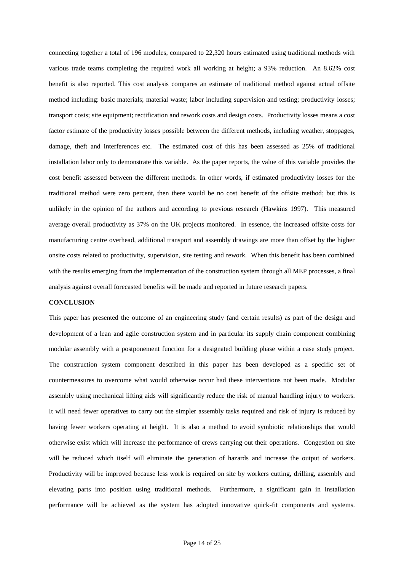connecting together a total of 196 modules, compared to 22,320 hours estimated using traditional methods with various trade teams completing the required work all working at height; a 93% reduction. An 8.62% cost benefit is also reported. This cost analysis compares an estimate of traditional method against actual offsite method including: basic materials; material waste; labor including supervision and testing; productivity losses; transport costs; site equipment; rectification and rework costs and design costs. Productivity losses means a cost factor estimate of the productivity losses possible between the different methods, including weather, stoppages, damage, theft and interferences etc. The estimated cost of this has been assessed as 25% of traditional installation labor only to demonstrate this variable. As the paper reports, the value of this variable provides the cost benefit assessed between the different methods. In other words, if estimated productivity losses for the traditional method were zero percent, then there would be no cost benefit of the offsite method; but this is unlikely in the opinion of the authors and according to previous research (Hawkins 1997). This measured average overall productivity as 37% on the UK projects monitored. In essence, the increased offsite costs for manufacturing centre overhead, additional transport and assembly drawings are more than offset by the higher onsite costs related to productivity, supervision, site testing and rework. When this benefit has been combined with the results emerging from the implementation of the construction system through all MEP processes, a final analysis against overall forecasted benefits will be made and reported in future research papers.

#### **CONCLUSION**

This paper has presented the outcome of an engineering study (and certain results) as part of the design and development of a lean and agile construction system and in particular its supply chain component combining modular assembly with a postponement function for a designated building phase within a case study project. The construction system component described in this paper has been developed as a specific set of countermeasures to overcome what would otherwise occur had these interventions not been made. Modular assembly using mechanical lifting aids will significantly reduce the risk of manual handling injury to workers. It will need fewer operatives to carry out the simpler assembly tasks required and risk of injury is reduced by having fewer workers operating at height. It is also a method to avoid symbiotic relationships that would otherwise exist which will increase the performance of crews carrying out their operations. Congestion on site will be reduced which itself will eliminate the generation of hazards and increase the output of workers. Productivity will be improved because less work is required on site by workers cutting, drilling, assembly and elevating parts into position using traditional methods. Furthermore, a significant gain in installation performance will be achieved as the system has adopted innovative quick-fit components and systems.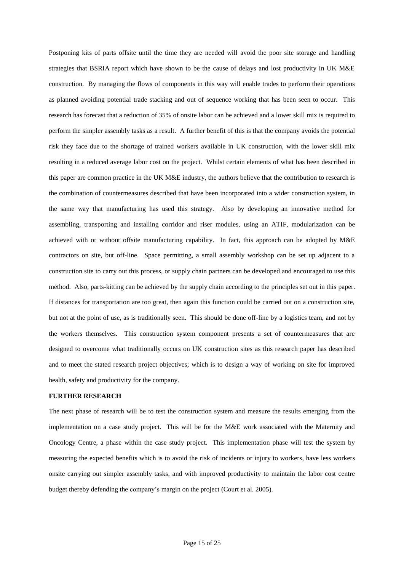Postponing kits of parts offsite until the time they are needed will avoid the poor site storage and handling strategies that BSRIA report which have shown to be the cause of delays and lost productivity in UK M&E construction. By managing the flows of components in this way will enable trades to perform their operations as planned avoiding potential trade stacking and out of sequence working that has been seen to occur. This research has forecast that a reduction of 35% of onsite labor can be achieved and a lower skill mix is required to perform the simpler assembly tasks as a result. A further benefit of this is that the company avoids the potential risk they face due to the shortage of trained workers available in UK construction, with the lower skill mix resulting in a reduced average labor cost on the project. Whilst certain elements of what has been described in this paper are common practice in the UK M&E industry, the authors believe that the contribution to research is the combination of countermeasures described that have been incorporated into a wider construction system, in the same way that manufacturing has used this strategy. Also by developing an innovative method for assembling, transporting and installing corridor and riser modules, using an ATIF, modularization can be achieved with or without offsite manufacturing capability. In fact, this approach can be adopted by M&E contractors on site, but off-line. Space permitting, a small assembly workshop can be set up adjacent to a construction site to carry out this process, or supply chain partners can be developed and encouraged to use this method. Also, parts-kitting can be achieved by the supply chain according to the principles set out in this paper. If distances for transportation are too great, then again this function could be carried out on a construction site, but not at the point of use, as is traditionally seen. This should be done off-line by a logistics team, and not by the workers themselves. This construction system component presents a set of countermeasures that are designed to overcome what traditionally occurs on UK construction sites as this research paper has described and to meet the stated research project objectives; which is to design a way of working on site for improved health, safety and productivity for the company.

## **FURTHER RESEARCH**

The next phase of research will be to test the construction system and measure the results emerging from the implementation on a case study project. This will be for the M&E work associated with the Maternity and Oncology Centre, a phase within the case study project. This implementation phase will test the system by measuring the expected benefits which is to avoid the risk of incidents or injury to workers, have less workers onsite carrying out simpler assembly tasks, and with improved productivity to maintain the labor cost centre budget thereby defending the company's margin on the project (Court et al. 2005).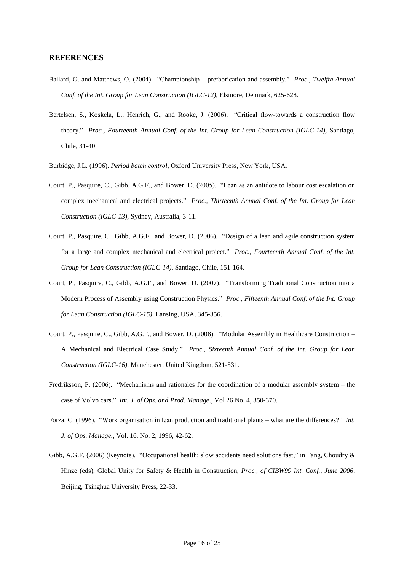## **REFERENCES**

- Ballard, G. and Matthews, O. (2004). "Championship prefabrication and assembly." *Proc., Twelfth Annual Conf. of the Int. Group for Lean Construction (IGLC-12)*, Elsinore, Denmark, 625-628.
- Bertelsen, S., Koskela, L., Henrich, G., and Rooke, J. (2006). "Critical flow-towards a construction flow theory." *Proc., Fourteenth Annual Conf. of the Int. Group for Lean Construction (IGLC-14),* Santiago, Chile, 31-40.
- Burbidge, J.L. (1996). *Period batch control,* Oxford University Press, New York, USA.
- Court, P., Pasquire, C., Gibb, A.G.F., and Bower, D. (2005). "Lean as an antidote to labour cost escalation on complex mechanical and electrical projects." *Proc., Thirteenth Annual Conf. of the Int. Group for Lean Construction (IGLC-13),* Sydney, Australia, 3-11.
- Court, P., Pasquire, C., Gibb, A.G.F., and Bower, D. (2006). "Design of a lean and agile construction system for a large and complex mechanical and electrical project." *Proc., Fourteenth Annual Conf. of the Int. Group for Lean Construction (IGLC-14),* Santiago, Chile, 151-164.
- Court, P., Pasquire, C., Gibb, A.G.F., and Bower, D. (2007). "Transforming Traditional Construction into a Modern Process of Assembly using Construction Physics." *Proc., Fifteenth Annual Conf. of the Int. Group for Lean Construction (IGLC-15),* Lansing, USA, 345-356.
- Court, P., Pasquire, C., Gibb, A.G.F., and Bower, D. (2008). "Modular Assembly in Healthcare Construction A Mechanical and Electrical Case Study." *Proc., Sixteenth Annual Conf. of the Int. Group for Lean Construction (IGLC-16),* Manchester, United Kingdom, 521-531.
- Fredriksson, P. (2006). "Mechanisms and rationales for the coordination of a modular assembly system the case of Volvo cars." *Int. J. of Ops. and Prod. Manage*., Vol 26 No. 4, 350-370.
- Forza, C. (1996). "Work organisation in lean production and traditional plants what are the differences?" *Int. J. of Ops. Manage.,* Vol. 16. No. 2, 1996, 42-62.
- Gibb, A.G.F. (2006) (Keynote). "Occupational health: slow accidents need solutions fast," in Fang, Choudry & Hinze (eds), Global Unity for Safety & Health in Construction, *Proc., of CIBW99 Int. Conf., June 2006*, Beijing, Tsinghua University Press, 22-33.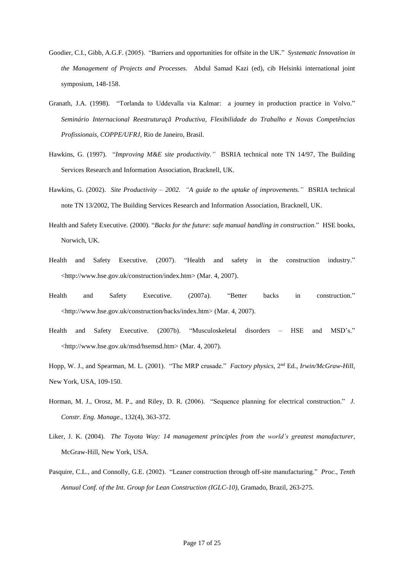- Goodier, C.I., Gibb, A.G.F. (2005). "Barriers and opportunities for offsite in the UK." *Systematic Innovation in the Management of Projects and Processes.* Abdul Samad Kazi (ed), cib Helsinki international joint symposium, 148-158.
- Granath, J.A. (1998). "Torlanda to Uddevalla via Kalmar: a journey in production practice in Volvo." *Seminário Internacional Reestruturaçã Productiva, Flexibilidade do Trabalho e Novas Competências Profissionais, COPPE/UFRJ,* Rio de Janeiro, Brasil.
- Hawkins, G. (1997). "*Improving M&E site productivity."* BSRIA technical note TN 14/97, The Building Services Research and Information Association, Bracknell, UK.
- Hawkins, G. (2002). *Site Productivity – 2002. "A guide to the uptake of improvements."* BSRIA technical note TN 13/2002, The Building Services Research and Information Association, Bracknell, UK.
- Health and Safety Executive. (2000). "*Backs for the future: safe manual handling in construction*." HSE books, Norwich, UK.
- Health and Safety Executive. (2007). "Health and safety in the construction industry." <http://www.hse.gov.uk/construction/index.htm> (Mar. 4, 2007).
- Health and Safety Executive. (2007a). "Better backs in construction." <http://www.hse.gov.uk/construction/backs/index.htm> (Mar. 4, 2007).
- Health and Safety Executive. (2007b). "Musculoskeletal disorders HSE and MSD's." <http://www.hse.gov.uk/msd/hsemsd.htm> (Mar. 4, 2007).
- Hopp, W. J., and Spearman, M. L. (2001). "The MRP crusade." *Factory physics*, 2<sup>nd</sup> Ed., *Irwin/McGraw-Hill*, New York, USA, 109-150.
- Horman, M. J., Orosz, M. P., and Riley, D. R. (2006). "Sequence planning for electrical construction." *J. Constr. Eng. Manage.,* 132(4), 363-372.
- Liker, J. K. (2004). *The Toyota Way: 14 management principles from the world's greatest manufacturer*, McGraw-Hill, New York, USA.
- Pasquire, C.L., and Connolly, G.E. (2002). "Leaner construction through off-site manufacturing." *Proc., Tenth Annual Conf. of the Int. Group for Lean Construction (IGLC-10)*, Gramado, Brazil, 263-275.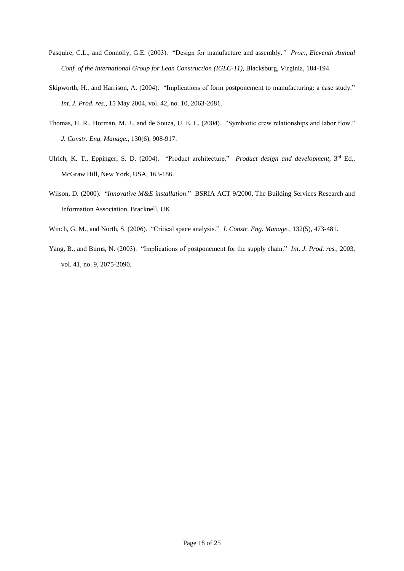- Pasquire, C.L., and Connolly, G.E. (2003). "Design for manufacture and assembly.*" Proc., Eleventh Annual Conf. of the International Group for Lean Construction (IGLC-11)*, Blacksburg, Virginia, 184-194.
- Skipworth, H., and Harrison, A. (2004). "Implications of form postponement to manufacturing: a case study." *Int. J. Prod. res.,* 15 May 2004, vol. 42, no. 10, 2063-2081.
- Thomas, H. R., Horman, M. J., and de Souza, U. E. L. (2004). "Symbiotic crew relationships and labor flow." *J. Constr. Eng. Manage.,* 130(6), 908-917.
- Ulrich, K. T., Eppinger, S. D. (2004). "Product architecture." *Product design and development*, 3<sup>rd</sup> Ed., McGraw Hill, New York, USA, 163-186.
- Wilson, D. (2000). "*Innovative M&E installation*." BSRIA ACT 9/2000, The Building Services Research and Information Association, Bracknell, UK.
- Winch, G. M., and North, S. (2006). "Critical space analysis." *J. Constr. Eng. Manage.,* 132(5), 473-481.
- Yang, B., and Burns, N. (2003). "Implications of postponement for the supply chain." *Int. J. Prod. res.,* 2003, vol. 41, no. 9, 2075-2090.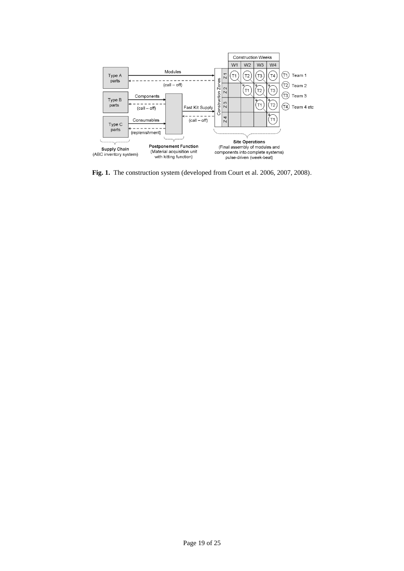

**Fig. 1.** The construction system (developed from Court et al. 2006, 2007, 2008).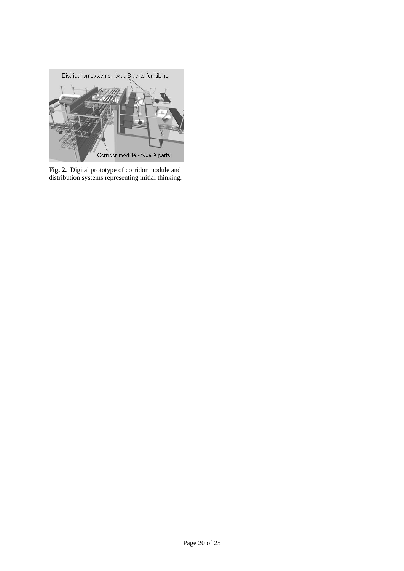

**Fig. 2.** Digital prototype of corridor module and distribution systems representing initial thinking.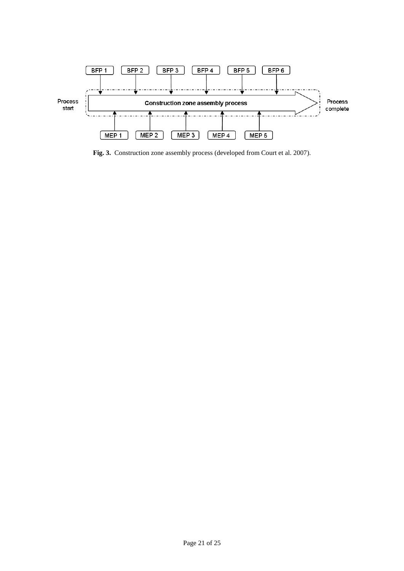

**Fig. 3.** Construction zone assembly process (developed from Court et al. 2007).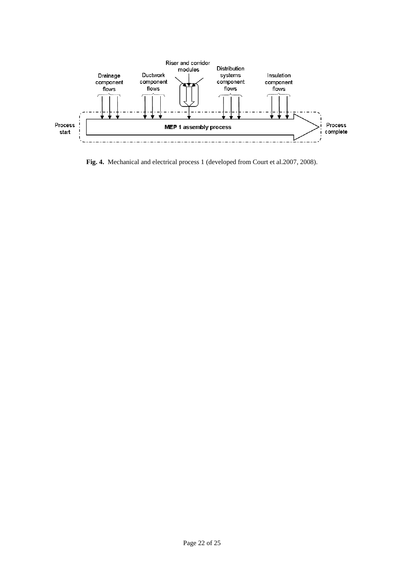

**Fig. 4.** Mechanical and electrical process 1 (developed from Court et al.2007, 2008).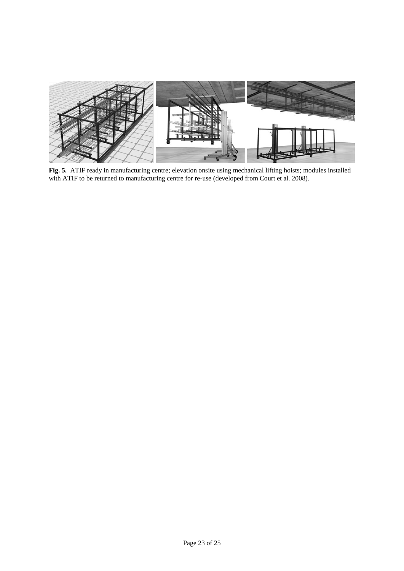

**Fig. 5.** ATIF ready in manufacturing centre; elevation onsite using mechanical lifting hoists; modules installed with ATIF to be returned to manufacturing centre for re-use (developed from Court et al. 2008).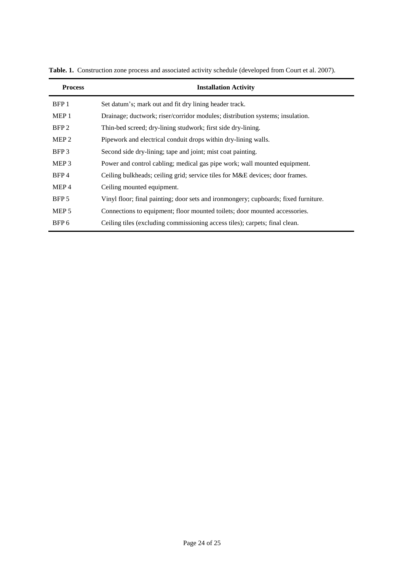| <b>Process</b>   | <b>Installation Activity</b>                                                        |  |  |  |
|------------------|-------------------------------------------------------------------------------------|--|--|--|
| BFP <sub>1</sub> | Set datum's; mark out and fit dry lining header track.                              |  |  |  |
| MEP <sub>1</sub> | Drainage; ductwork; riser/corridor modules; distribution systems; insulation.       |  |  |  |
| BFP <sub>2</sub> | Thin-bed screed; dry-lining studwork; first side dry-lining.                        |  |  |  |
| MEP <sub>2</sub> | Pipework and electrical conduit drops within dry-lining walls.                      |  |  |  |
| BFP3             | Second side dry-lining; tape and joint; mist coat painting.                         |  |  |  |
| MEP <sub>3</sub> | Power and control cabling; medical gas pipe work; wall mounted equipment.           |  |  |  |
| BFP4             | Ceiling bulkheads; ceiling grid; service tiles for M&E devices; door frames.        |  |  |  |
| MEP <sub>4</sub> | Ceiling mounted equipment.                                                          |  |  |  |
| BFP 5            | Vinyl floor; final painting; door sets and ironmongery; cupboards; fixed furniture. |  |  |  |
| MEP <sub>5</sub> | Connections to equipment; floor mounted toilets; door mounted accessories.          |  |  |  |
| BFP <sub>6</sub> | Ceiling tiles (excluding commissioning access tiles); carpets; final clean.         |  |  |  |

Table. 1. Construction zone process and associated activity schedule (developed from Court et al. 2007).